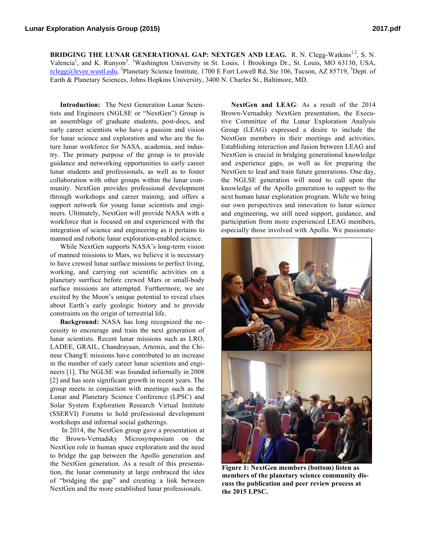BRIDGING THE LUNAR GENERATIONAL GAP: NEXTGEN AND LEAG. R. N. Clegg-Watkins<sup>1,2</sup>, S. N. Valencia<sup>1</sup>, and K. Runyon<sup>3</sup>. <sup>1</sup>Washington University in St. Louis, 1 Brookings Dr., St. Louis, MO 63130, USA, rclegg@levee.wustl.edu, <sup>2</sup>Planetary Science Institute, 1700 E Fort Lowell Rd, Ste 106, Tucson, AZ 85719, <sup>3</sup>Dept. of Earth & Planetary Sciences, Johns Hopkins University, 3400 N. Charles St., Baltimore, MD.

**Introduction:** The Next Generation Lunar Scientists and Engineers (NGLSE or "NextGen") Group is an assemblage of graduate students, post-docs, and early career scientists who have a passion and vision for lunar science and exploration and who are the future lunar workforce for NASA, academia, and industry. The primary purpose of the group is to provide guidance and networking opportunities to early career lunar students and professionals, as well as to foster collaboration with other groups within the lunar community. NextGen provides professional development through workshops and career training, and offers a support network for young lunar scientists and engineers. Ultimately, NextGen will provide NASA with a workforce that is focused on and experienced with the integration of science and engineering as it pertains to manned and robotic lunar exploration-enabled science.

While NextGen supports NASA's long-term vision of manned missions to Mars, we believe it is necessary to have crewed lunar surface missions to perfect living, working, and carrying out scientific activities on a planetary surrface before crewed Mars or small-body surface missions are attempted. Furthermore, we are excited by the Moon's unique potential to reveal clues about Earth's early geologic history and to provide constraints on the origin of terrestrial life.

**Background:** NASA has long recognized the necessity to encourage and train the next generation of lunar scientists. Recent lunar missions such as LRO, LADEE, GRAIL, Chandrayaan, Artemis, and the Chinese Chang'E missions have contributed to an increase in the number of early career lunar scientists and engineers [1]. The NGLSE was founded informally in 2008 [2] and has seen significant growth in recent years. The group meets in conjuction with meetings such as the Lunar and Planetary Science Conference (LPSC) and Solar System Exploration Research Virtual Institute (SSERVI) Forums to hold professional development workshops and informal social gatherings.

In 2014, the NextGen group gave a presentation at the Brown-Vernadsky Microsymposium on the NextGen role in human space exploration and the need to bridge the gap between the Apollo generation and the NextGen generation. As a result of this presentation, the lunar community at large embraced the idea of "bridging the gap" and creating a link between NextGen and the more established lunar professionals.

**NextGen and LEAG**: As a result of the 2014 Brown-Vernadsky NextGen presentation, the Executive Committee of the Lunar Exploration Analysis Group (LEAG) expressed a desire to include the NextGen members in their meetings and activities. Establishing interaction and fusion between LEAG and NextGen is crucial in bridging generational knowledge and experience gaps, as well as for preparing the NextGen to lead and train future generations. One day, the NGLSE generation will need to call upon the knowledge of the Apollo generation to support to the next human lunar exploration program. While we bring our own perspectives and innovation to lunar science and engineering, we still need support, guidance, and participation from more experienced LEAG members, especially those involved with Apollo. We passionate-



**Figure 1: NextGen members (bottom) listen as members of the planetary science community discuss the publication and peer review process at the 2015 LPSC.**